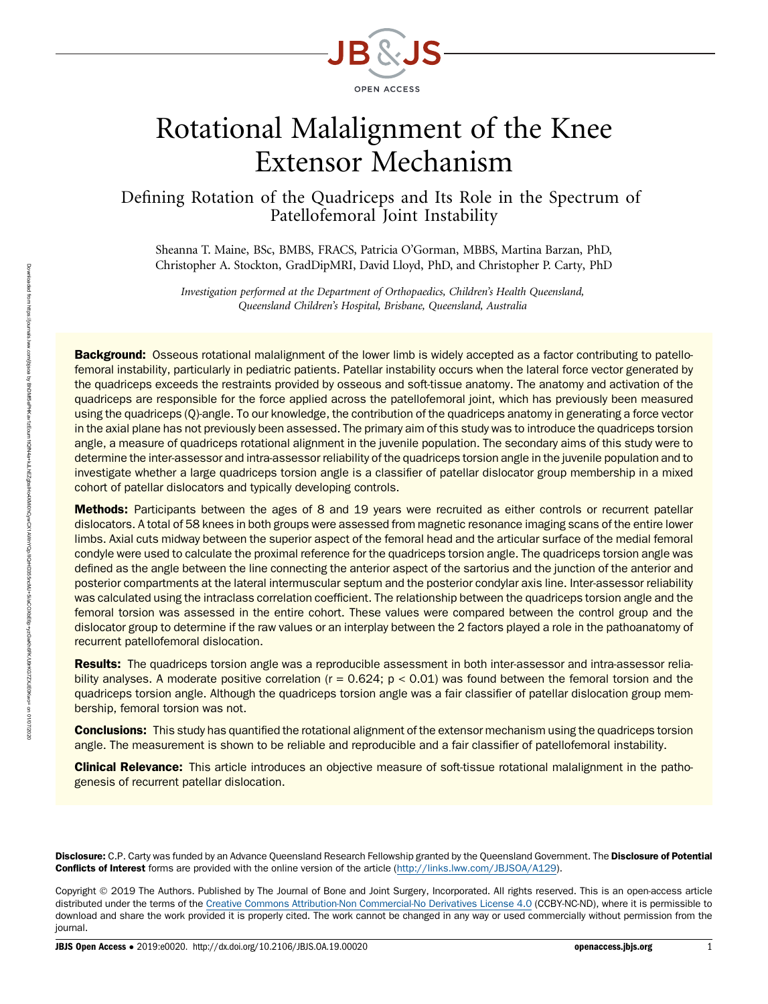

# Rotational Malalignment of the Knee Extensor Mechanism

Defining Rotation of the Quadriceps and Its Role in the Spectrum of Patellofemoral Joint Instability

Sheanna T. Maine, BSc, BMBS, FRACS, Patricia O'Gorman, MBBS, Martina Barzan, PhD, Christopher A. Stockton, GradDipMRI, David Lloyd, PhD, and Christopher P. Carty, PhD

Investigation performed at the Department of Orthopaedics, Children's Health Queensland, Queensland Children's Hospital, Brisbane, Queensland, Australia

**Background:** Osseous rotational malalignment of the lower limb is widely accepted as a factor contributing to patellofemoral instability, particularly in pediatric patients. Patellar instability occurs when the lateral force vector generated by the quadriceps exceeds the restraints provided by osseous and soft-tissue anatomy. The anatomy and activation of the quadriceps are responsible for the force applied across the patellofemoral joint, which has previously been measured using the quadriceps (Q)-angle. To our knowledge, the contribution of the quadriceps anatomy in generating a force vector in the axial plane has not previously been assessed. The primary aim of this study was to introduce the quadriceps torsion angle, a measure of quadriceps rotational alignment in the juvenile population. The secondary aims of this study were to determine the inter-assessor and intra-assessor reliability of the quadriceps torsion angle in the juvenile population and to investigate whether a large quadriceps torsion angle is a classifier of patellar dislocator group membership in a mixed cohort of patellar dislocators and typically developing controls.

Methods: Participants between the ages of 8 and 19 years were recruited as either controls or recurrent patellar dislocators. A total of 58 knees in both groups were assessed from magnetic resonance imaging scans of the entire lower limbs. Axial cuts midway between the superior aspect of the femoral head and the articular surface of the medial femoral condyle were used to calculate the proximal reference for the quadriceps torsion angle. The quadriceps torsion angle was defined as the angle between the line connecting the anterior aspect of the sartorius and the junction of the anterior and posterior compartments at the lateral intermuscular septum and the posterior condylar axis line. Inter-assessor reliability was calculated using the intraclass correlation coefficient. The relationship between the quadriceps torsion angle and the femoral torsion was assessed in the entire cohort. These values were compared between the control group and the dislocator group to determine if the raw values or an interplay between the 2 factors played a role in the pathoanatomy of recurrent patellofemoral dislocation.

Results: The quadriceps torsion angle was a reproducible assessment in both inter-assessor and intra-assessor reliability analyses. A moderate positive correlation ( $r = 0.624$ ;  $p < 0.01$ ) was found between the femoral torsion and the quadriceps torsion angle. Although the quadriceps torsion angle was a fair classifier of patellar dislocation group membership, femoral torsion was not.

**Conclusions:** This study has quantified the rotational alignment of the extensor mechanism using the quadriceps torsion angle. The measurement is shown to be reliable and reproducible and a fair classifier of patellofemoral instability.

Clinical Relevance: This article introduces an objective measure of soft-tissue rotational malalignment in the pathogenesis of recurrent patellar dislocation.

Disclosure: C.P. Carty was funded by an Advance Queensland Research Fellowship granted by the Queensland Government. The Disclosure of Potential Conflicts of Interest forms are provided with the online version of the article [\(http://links.lww.com/JBJSOA/A129\)](http://links.lww.com/JBJSOA/A129).

Copyright 2019 The Authors. Published by The Journal of Bone and Joint Surgery, Incorporated. All rights reserved. This is an open-access article distributed under the terms of the [Creative Commons Attribution-Non Commercial-No Derivatives License 4.0](http://creativecommons.org/licenses/by-nc-nd/4.0/) (CCBY-NC-ND), where it is permissible to download and share the work provided it is properly cited. The work cannot be changed in any way or used commercially without permission from the journal.

JBJS Open Access • 2019:e0020. http://dx.doi.org/10.2106/JBJS.OA.19.00020 openaccess.jbjs.org 1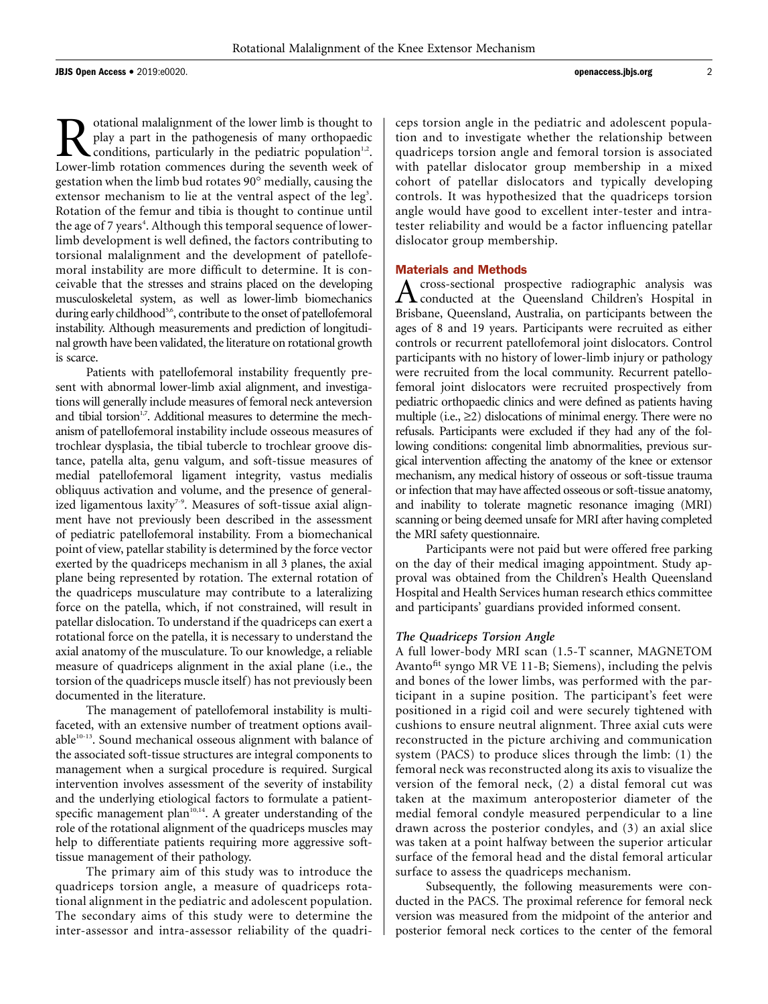Rotational malalignment of the lower limb is thought to<br>play a part in the pathogenesis of many orthopaedic<br>conditions, particularly in the pediatric population<sup>1,2</sup>.<br>Lower-limb rotation commences during the seventh week o play a part in the pathogenesis of many orthopaedic conditions, particularly in the pediatric population $1/2$ . Lower-limb rotation commences during the seventh week of gestation when the limb bud rotates  $90^\circ$  medially, causing the extensor mechanism to lie at the ventral aspect of the leg<sup>3</sup>. Rotation of the femur and tibia is thought to continue until the age of 7 years<sup>4</sup>. Although this temporal sequence of lowerlimb development is well defined, the factors contributing to torsional malalignment and the development of patellofemoral instability are more difficult to determine. It is conceivable that the stresses and strains placed on the developing musculoskeletal system, as well as lower-limb biomechanics during early childhood<sup>5,6</sup>, contribute to the onset of patellofemoral instability. Although measurements and prediction of longitudinal growth have been validated, the literature on rotational growth is scarce.

Patients with patellofemoral instability frequently present with abnormal lower-limb axial alignment, and investigations will generally include measures of femoral neck anteversion and tibial torsion<sup>1,7</sup>. Additional measures to determine the mechanism of patellofemoral instability include osseous measures of trochlear dysplasia, the tibial tubercle to trochlear groove distance, patella alta, genu valgum, and soft-tissue measures of medial patellofemoral ligament integrity, vastus medialis obliquus activation and volume, and the presence of generalized ligamentous laxity<sup>7-9</sup>. Measures of soft-tissue axial alignment have not previously been described in the assessment of pediatric patellofemoral instability. From a biomechanical point of view, patellar stability is determined by the force vector exerted by the quadriceps mechanism in all 3 planes, the axial plane being represented by rotation. The external rotation of the quadriceps musculature may contribute to a lateralizing force on the patella, which, if not constrained, will result in patellar dislocation. To understand if the quadriceps can exert a rotational force on the patella, it is necessary to understand the axial anatomy of the musculature. To our knowledge, a reliable measure of quadriceps alignment in the axial plane (i.e., the torsion of the quadriceps muscle itself) has not previously been documented in the literature.

The management of patellofemoral instability is multifaceted, with an extensive number of treatment options available<sup>10-13</sup>. Sound mechanical osseous alignment with balance of the associated soft-tissue structures are integral components to management when a surgical procedure is required. Surgical intervention involves assessment of the severity of instability and the underlying etiological factors to formulate a patientspecific management plan<sup>10,14</sup>. A greater understanding of the role of the rotational alignment of the quadriceps muscles may help to differentiate patients requiring more aggressive softtissue management of their pathology.

The primary aim of this study was to introduce the quadriceps torsion angle, a measure of quadriceps rotational alignment in the pediatric and adolescent population. The secondary aims of this study were to determine the inter-assessor and intra-assessor reliability of the quadriceps torsion angle in the pediatric and adolescent population and to investigate whether the relationship between quadriceps torsion angle and femoral torsion is associated with patellar dislocator group membership in a mixed cohort of patellar dislocators and typically developing controls. It was hypothesized that the quadriceps torsion angle would have good to excellent inter-tester and intratester reliability and would be a factor influencing patellar dislocator group membership.

**Materials and Methods**<br> **A** cross-sectional prospective radiographic analysis was Across-sectional prospective radiographic analysis was conducted at the Queensland Children's Hospital in Brisbane, Queensland, Australia, on participants between the ages of 8 and 19 years. Participants were recruited as either controls or recurrent patellofemoral joint dislocators. Control participants with no history of lower-limb injury or pathology were recruited from the local community. Recurrent patellofemoral joint dislocators were recruited prospectively from pediatric orthopaedic clinics and were defined as patients having multiple (i.e.,  $\geq$ 2) dislocations of minimal energy. There were no refusals. Participants were excluded if they had any of the following conditions: congenital limb abnormalities, previous surgical intervention affecting the anatomy of the knee or extensor mechanism, any medical history of osseous or soft-tissue trauma or infection that may have affected osseous or soft-tissue anatomy, and inability to tolerate magnetic resonance imaging (MRI) scanning or being deemed unsafe for MRI after having completed the MRI safety questionnaire.

Participants were not paid but were offered free parking on the day of their medical imaging appointment. Study approval was obtained from the Children's Health Queensland Hospital and Health Services human research ethics committee and participants' guardians provided informed consent.

# The Quadriceps Torsion Angle

A full lower-body MRI scan (1.5-T scanner, MAGNETOM Avanto<sup>fit</sup> syngo MR VE 11-B; Siemens), including the pelvis and bones of the lower limbs, was performed with the participant in a supine position. The participant's feet were positioned in a rigid coil and were securely tightened with cushions to ensure neutral alignment. Three axial cuts were reconstructed in the picture archiving and communication system (PACS) to produce slices through the limb: (1) the femoral neck was reconstructed along its axis to visualize the version of the femoral neck, (2) a distal femoral cut was taken at the maximum anteroposterior diameter of the medial femoral condyle measured perpendicular to a line drawn across the posterior condyles, and (3) an axial slice was taken at a point halfway between the superior articular surface of the femoral head and the distal femoral articular surface to assess the quadriceps mechanism.

Subsequently, the following measurements were conducted in the PACS. The proximal reference for femoral neck version was measured from the midpoint of the anterior and posterior femoral neck cortices to the center of the femoral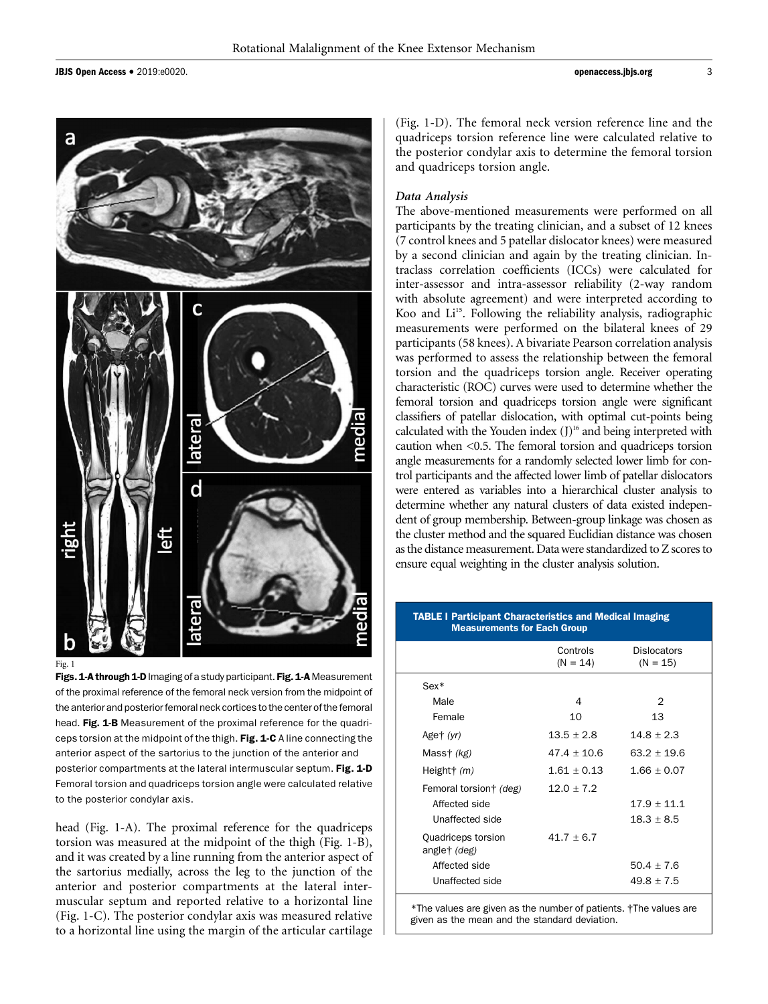JBJS Open Access <sup>d</sup> 2019:e0020. openaccess.jbjs.org <sup>3</sup>



Fig. 1

Figs. 1-A through 1-D Imaging of a study participant. Fig. 1-A Measurement of the proximal reference of the femoral neck version from the midpoint of the anterior and posterior femoral neck cortices to the center of the femoral head. Fig. 1-B Measurement of the proximal reference for the quadriceps torsion at the midpoint of the thigh. Fig. 1-C A line connecting the anterior aspect of the sartorius to the junction of the anterior and posterior compartments at the lateral intermuscular septum. Fig. 1-D Femoral torsion and quadriceps torsion angle were calculated relative to the posterior condylar axis.

head (Fig. 1-A). The proximal reference for the quadriceps torsion was measured at the midpoint of the thigh (Fig. 1-B), and it was created by a line running from the anterior aspect of the sartorius medially, across the leg to the junction of the anterior and posterior compartments at the lateral intermuscular septum and reported relative to a horizontal line (Fig. 1-C). The posterior condylar axis was measured relative to a horizontal line using the margin of the articular cartilage

(Fig. 1-D). The femoral neck version reference line and the quadriceps torsion reference line were calculated relative to the posterior condylar axis to determine the femoral torsion and quadriceps torsion angle.

# Data Analysis

The above-mentioned measurements were performed on all participants by the treating clinician, and a subset of 12 knees (7 control knees and 5 patellar dislocator knees) were measured by a second clinician and again by the treating clinician. Intraclass correlation coefficients (ICCs) were calculated for inter-assessor and intra-assessor reliability (2-way random with absolute agreement) and were interpreted according to Koo and Li<sup>15</sup>. Following the reliability analysis, radiographic measurements were performed on the bilateral knees of 29 participants (58 knees). A bivariate Pearson correlation analysis was performed to assess the relationship between the femoral torsion and the quadriceps torsion angle. Receiver operating characteristic (ROC) curves were used to determine whether the femoral torsion and quadriceps torsion angle were significant classifiers of patellar dislocation, with optimal cut-points being calculated with the Youden index  $(J)$ <sup>16</sup> and being interpreted with caution when <0.5. The femoral torsion and quadriceps torsion angle measurements for a randomly selected lower limb for control participants and the affected lower limb of patellar dislocators were entered as variables into a hierarchical cluster analysis to determine whether any natural clusters of data existed independent of group membership. Between-group linkage was chosen as the cluster method and the squared Euclidian distance was chosen as the distance measurement. Data were standardized to Z scores to ensure equal weighting in the cluster analysis solution.

# TABLE I Participant Characteristics and Medical Imaging Measurements for Each Group

| Controls<br>$(N = 14)$ | <b>Dislocators</b><br>$(N = 15)$ |
|------------------------|----------------------------------|
|                        |                                  |
| 4                      | 2                                |
| 10                     | 13                               |
| $13.5 + 2.8$           | $14.8 + 2.3$                     |
| $47.4 + 10.6$          | $63.2 + 19.6$                    |
| $1.61 + 0.13$          | $1.66 + 0.07$                    |
| $12.0 + 7.2$           |                                  |
|                        | $17.9 + 11.1$                    |
|                        | $18.3 \pm 8.5$                   |
| $41.7 + 6.7$           |                                  |
|                        | $50.4 + 7.6$                     |
|                        | $49.8 + 7.5$                     |
|                        |                                  |

\*The values are given as the number of patients. †The values are given as the mean and the standard deviation.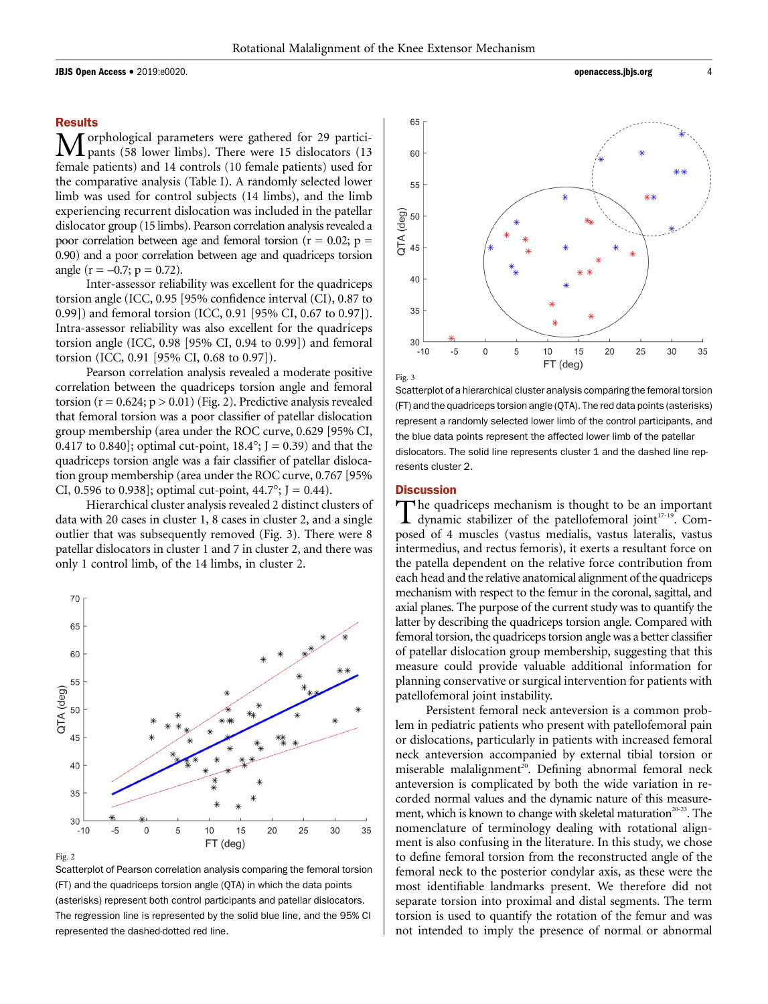**JBJS Open Access •** 2019:e0020. **and 2019: and 2019: and 2019: and 2019: and 2019: and 2019: and 2019: and 2019: and 2019: and 2019: and 2019: and 2019: and 2019: and 2019: and 2019: and 2019** 

# **Results**

Morphological parameters were gathered for 29 partici-<br>pants (58 lower limbs). There were 15 dislocators (13 female patients) and 14 controls (10 female patients) used for the comparative analysis (Table I). A randomly selected lower limb was used for control subjects (14 limbs), and the limb experiencing recurrent dislocation was included in the patellar dislocator group (15 limbs). Pearson correlation analysis revealed a poor correlation between age and femoral torsion ( $r = 0.02$ ;  $p =$ 0.90) and a poor correlation between age and quadriceps torsion angle ( $r = -0.7$ ;  $p = 0.72$ ).

Inter-assessor reliability was excellent for the quadriceps torsion angle (ICC, 0.95 [95% confidence interval (CI), 0.87 to 0.99]) and femoral torsion (ICC, 0.91 [95% CI, 0.67 to 0.97]). Intra-assessor reliability was also excellent for the quadriceps torsion angle (ICC, 0.98 [95% CI, 0.94 to 0.99]) and femoral torsion (ICC, 0.91 [95% CI, 0.68 to 0.97]).

Pearson correlation analysis revealed a moderate positive correlation between the quadriceps torsion angle and femoral torsion ( $r = 0.624$ ;  $p > 0.01$ ) (Fig. 2). Predictive analysis revealed that femoral torsion was a poor classifier of patellar dislocation group membership (area under the ROC curve, 0.629 [95% CI, 0.417 to 0.840]; optimal cut-point,  $18.4^{\circ}$ ; J = 0.39) and that the quadriceps torsion angle was a fair classifier of patellar dislocation group membership (area under the ROC curve, 0.767 [95% CI, 0.596 to 0.938]; optimal cut-point,  $44.7^{\circ}$ ; J = 0.44).

Hierarchical cluster analysis revealed 2 distinct clusters of data with 20 cases in cluster 1, 8 cases in cluster 2, and a single outlier that was subsequently removed (Fig. 3). There were 8 patellar dislocators in cluster 1 and 7 in cluster 2, and there was only 1 control limb, of the 14 limbs, in cluster 2.



Fig. 2

Scatterplot of Pearson correlation analysis comparing the femoral torsion (FT) and the quadriceps torsion angle (QTA) in which the data points (asterisks) represent both control participants and patellar dislocators. The regression line is represented by the solid blue line, and the 95% CI represented the dashed-dotted red line.



Scatterplot of a hierarchical cluster analysis comparing the femoral torsion (FT) and the quadriceps torsion angle (QTA). The red data points (asterisks) represent a randomly selected lower limb of the control participants, and the blue data points represent the affected lower limb of the patellar dislocators. The solid line represents cluster 1 and the dashed line represents cluster 2.

# **Discussion**

The quadriceps mechanism is thought to be an important dynamic stabilizer of the patellofemoral joint $17-19$ . Composed of 4 muscles (vastus medialis, vastus lateralis, vastus intermedius, and rectus femoris), it exerts a resultant force on the patella dependent on the relative force contribution from each head and the relative anatomical alignment of the quadriceps mechanism with respect to the femur in the coronal, sagittal, and axial planes. The purpose of the current study was to quantify the latter by describing the quadriceps torsion angle. Compared with femoral torsion, the quadriceps torsion angle was a better classifier of patellar dislocation group membership, suggesting that this measure could provide valuable additional information for planning conservative or surgical intervention for patients with patellofemoral joint instability.

Persistent femoral neck anteversion is a common problem in pediatric patients who present with patellofemoral pain or dislocations, particularly in patients with increased femoral neck anteversion accompanied by external tibial torsion or miserable malalignment<sup>20</sup>. Defining abnormal femoral neck anteversion is complicated by both the wide variation in recorded normal values and the dynamic nature of this measurement, which is known to change with skeletal maturation<sup>20-23</sup>. The nomenclature of terminology dealing with rotational alignment is also confusing in the literature. In this study, we chose to define femoral torsion from the reconstructed angle of the femoral neck to the posterior condylar axis, as these were the most identifiable landmarks present. We therefore did not separate torsion into proximal and distal segments. The term torsion is used to quantify the rotation of the femur and was not intended to imply the presence of normal or abnormal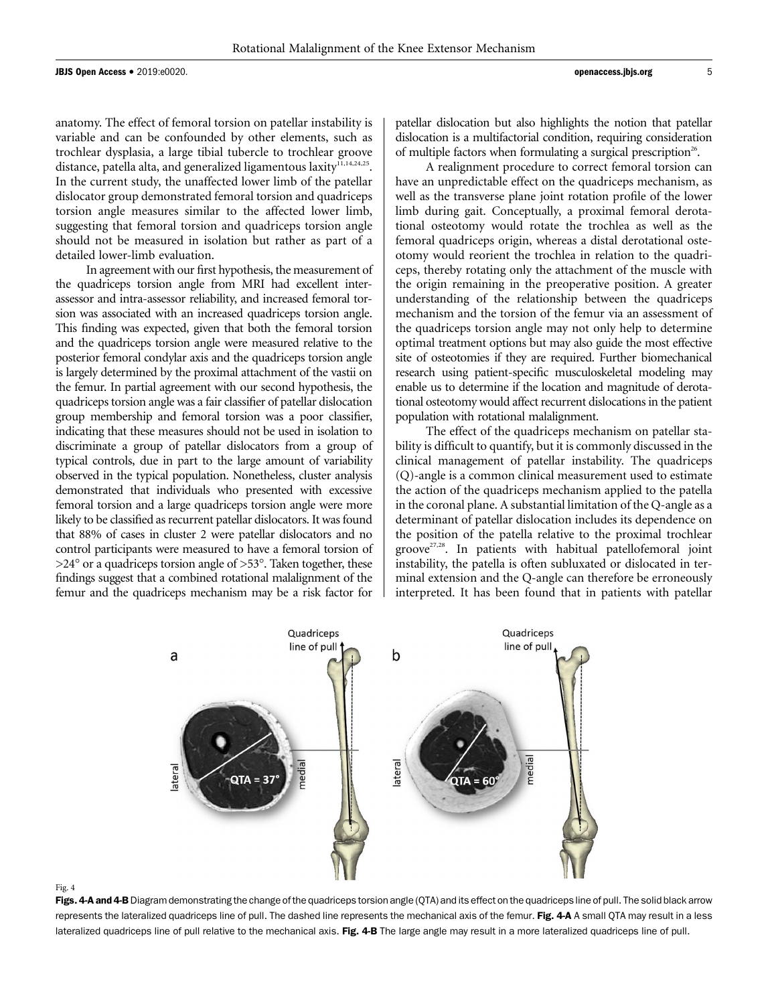anatomy. The effect of femoral torsion on patellar instability is variable and can be confounded by other elements, such as trochlear dysplasia, a large tibial tubercle to trochlear groove distance, patella alta, and generalized ligamentous laxity<sup>11,14,24,25</sup>. In the current study, the unaffected lower limb of the patellar dislocator group demonstrated femoral torsion and quadriceps torsion angle measures similar to the affected lower limb, suggesting that femoral torsion and quadriceps torsion angle should not be measured in isolation but rather as part of a detailed lower-limb evaluation.

In agreement with our first hypothesis, the measurement of the quadriceps torsion angle from MRI had excellent interassessor and intra-assessor reliability, and increased femoral torsion was associated with an increased quadriceps torsion angle. This finding was expected, given that both the femoral torsion and the quadriceps torsion angle were measured relative to the posterior femoral condylar axis and the quadriceps torsion angle is largely determined by the proximal attachment of the vastii on the femur. In partial agreement with our second hypothesis, the quadriceps torsion angle was a fair classifier of patellar dislocation group membership and femoral torsion was a poor classifier, indicating that these measures should not be used in isolation to discriminate a group of patellar dislocators from a group of typical controls, due in part to the large amount of variability observed in the typical population. Nonetheless, cluster analysis demonstrated that individuals who presented with excessive femoral torsion and a large quadriceps torsion angle were more likely to be classified as recurrent patellar dislocators. It was found that 88% of cases in cluster 2 were patellar dislocators and no control participants were measured to have a femoral torsion of  $>$ 24 $\degree$  or a quadriceps torsion angle of  $>$ 53 $\degree$ . Taken together, these findings suggest that a combined rotational malalignment of the femur and the quadriceps mechanism may be a risk factor for

patellar dislocation but also highlights the notion that patellar dislocation is a multifactorial condition, requiring consideration of multiple factors when formulating a surgical prescription<sup>26</sup>.

A realignment procedure to correct femoral torsion can have an unpredictable effect on the quadriceps mechanism, as well as the transverse plane joint rotation profile of the lower limb during gait. Conceptually, a proximal femoral derotational osteotomy would rotate the trochlea as well as the femoral quadriceps origin, whereas a distal derotational osteotomy would reorient the trochlea in relation to the quadriceps, thereby rotating only the attachment of the muscle with the origin remaining in the preoperative position. A greater understanding of the relationship between the quadriceps mechanism and the torsion of the femur via an assessment of the quadriceps torsion angle may not only help to determine optimal treatment options but may also guide the most effective site of osteotomies if they are required. Further biomechanical research using patient-specific musculoskeletal modeling may enable us to determine if the location and magnitude of derotational osteotomy would affect recurrent dislocations in the patient population with rotational malalignment.

The effect of the quadriceps mechanism on patellar stability is difficult to quantify, but it is commonly discussed in the clinical management of patellar instability. The quadriceps (Q)-angle is a common clinical measurement used to estimate the action of the quadriceps mechanism applied to the patella in the coronal plane. A substantial limitation of the Q-angle as a determinant of patellar dislocation includes its dependence on the position of the patella relative to the proximal trochlear groove<sup>27,28</sup>. In patients with habitual patellofemoral joint instability, the patella is often subluxated or dislocated in terminal extension and the Q-angle can therefore be erroneously interpreted. It has been found that in patients with patellar



### Fig. 4

Figs. 4-A and 4-B Diagram demonstrating the change of the quadriceps torsion angle (QTA) and its effect on the quadriceps line of pull. The solid black arrow represents the lateralized quadriceps line of pull. The dashed line represents the mechanical axis of the femur. Fig. 4-A A small QTA may result in a less lateralized quadriceps line of pull relative to the mechanical axis. Fig. 4-B The large angle may result in a more lateralized quadriceps line of pull.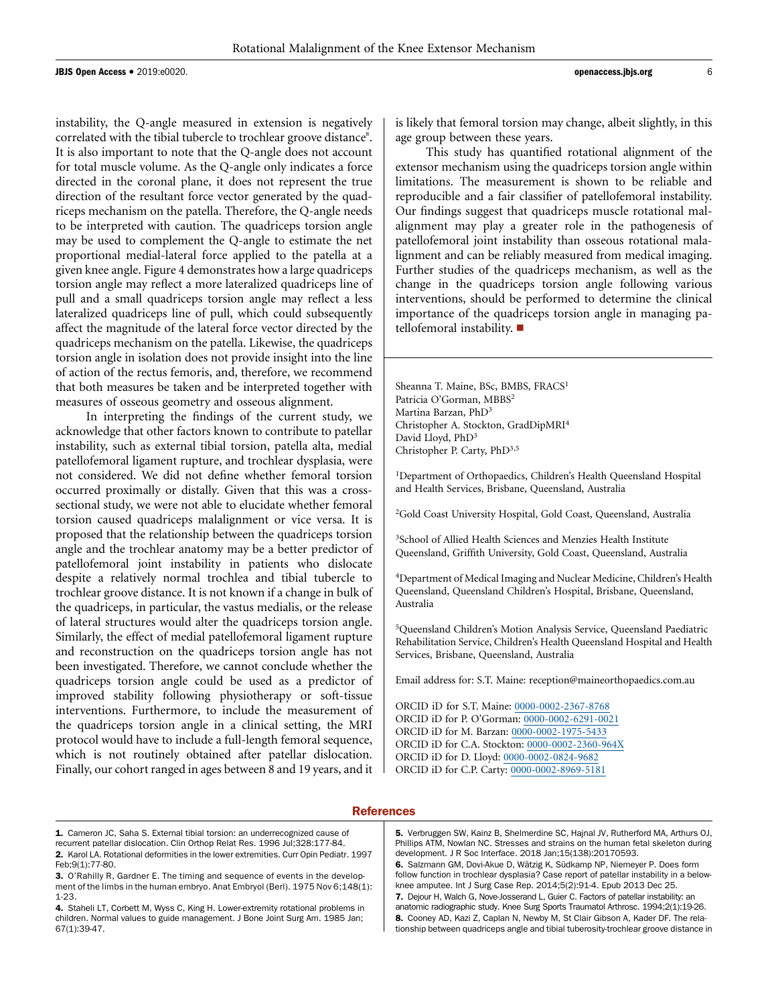instability, the Q-angle measured in extension is negatively correlated with the tibial tubercle to trochlear groove distance<sup>8</sup>. It is also important to note that the Q-angle does not account for total muscle volume. As the Q-angle only indicates a force directed in the coronal plane, it does not represent the true direction of the resultant force vector generated by the quadriceps mechanism on the patella. Therefore, the Q-angle needs to be interpreted with caution. The quadriceps torsion angle may be used to complement the Q-angle to estimate the net proportional medial-lateral force applied to the patella at a given knee angle. Figure 4 demonstrates how a large quadriceps torsion angle may reflect a more lateralized quadriceps line of pull and a small quadriceps torsion angle may reflect a less lateralized quadriceps line of pull, which could subsequently affect the magnitude of the lateral force vector directed by the quadriceps mechanism on the patella. Likewise, the quadriceps torsion angle in isolation does not provide insight into the line of action of the rectus femoris, and, therefore, we recommend that both measures be taken and be interpreted together with measures of osseous geometry and osseous alignment.

In interpreting the findings of the current study, we acknowledge that other factors known to contribute to patellar instability, such as external tibial torsion, patella alta, medial patellofemoral ligament rupture, and trochlear dysplasia, were not considered. We did not define whether femoral torsion occurred proximally or distally. Given that this was a crosssectional study, we were not able to elucidate whether femoral torsion caused quadriceps malalignment or vice versa. It is proposed that the relationship between the quadriceps torsion angle and the trochlear anatomy may be a better predictor of patellofemoral joint instability in patients who dislocate despite a relatively normal trochlea and tibial tubercle to trochlear groove distance. It is not known if a change in bulk of the quadriceps, in particular, the vastus medialis, or the release of lateral structures would alter the quadriceps torsion angle. Similarly, the effect of medial patellofemoral ligament rupture and reconstruction on the quadriceps torsion angle has not been investigated. Therefore, we cannot conclude whether the quadriceps torsion angle could be used as a predictor of improved stability following physiotherapy or soft-tissue interventions. Furthermore, to include the measurement of the quadriceps torsion angle in a clinical setting, the MRI protocol would have to include a full-length femoral sequence, which is not routinely obtained after patellar dislocation. Finally, our cohort ranged in ages between 8 and 19 years, and it is likely that femoral torsion may change, albeit slightly, in this age group between these years.

This study has quantified rotational alignment of the extensor mechanism using the quadriceps torsion angle within limitations. The measurement is shown to be reliable and reproducible and a fair classifier of patellofemoral instability. Our findings suggest that quadriceps muscle rotational malalignment may play a greater role in the pathogenesis of patellofemoral joint instability than osseous rotational malalignment and can be reliably measured from medical imaging. Further studies of the quadriceps mechanism, as well as the change in the quadriceps torsion angle following various interventions, should be performed to determine the clinical importance of the quadriceps torsion angle in managing patellofemoral instability.  $\blacksquare$ 

Sheanna T. Maine, BSc, BMBS, FRACS<sup>1</sup> Patricia O'Gorman, MBBS<sup>2</sup> Martina Barzan, PhD<sup>3</sup> Christopher A. Stockton, GradDipMRI<sup>4</sup> David Lloyd, PhD<sup>3</sup> Christopher P. Carty, PhD3,5

<sup>1</sup>Department of Orthopaedics, Children's Health Queensland Hospital and Health Services, Brisbane, Queensland, Australia

2 Gold Coast University Hospital, Gold Coast, Queensland, Australia

3 School of Allied Health Sciences and Menzies Health Institute Queensland, Griffith University, Gold Coast, Queensland, Australia

4 Department of Medical Imaging and Nuclear Medicine, Children's Health Queensland, Queensland Children's Hospital, Brisbane, Queensland, Australia

5 Queensland Children's Motion Analysis Service, Queensland Paediatric Rehabilitation Service, Children's Health Queensland Hospital and Health Services, Brisbane, Queensland, Australia

Email address for: S.T. Maine: [reception@maineorthopaedics.com.au](mailto:reception@maineorthopaedics.com.au)

ORCID iD for S.T. Maine: [0000-0002-2367-8768](http://orcid.org/0000-0002-2367-8768) ORCID iD for P. O'Gorman: [0000-0002-6291-0021](http://orcid.org/0000-0002-6291-0021) ORCID iD for M. Barzan: [0000-0002-1975-5433](http://orcid.org/0000-0002-1975-5433) ORCID iD for C.A. Stockton: [0000-0002-2360-964X](http://orcid.org/0000-0002-2360-964X) ORCID iD for D. Lloyd: [0000-0002-0824-9682](http://orcid.org/0000-0002-0824-9682) ORCID iD for C.P. Carty: [0000-0002-8969-5181](http://orcid.org/0000-0002-8969-5181)

# **References**

1. Cameron JC, Saha S. External tibial torsion: an underrecognized cause of recurrent patellar dislocation. Clin Orthop Relat Res. 1996 Jul;328:177-84.

Phillips ATM, Nowlan NC. Stresses and strains on the human fetal skeleton during development. J R Soc Interface. 2018 Jan;15(138):20170593. 6. Salzmann GM, Dovi-Akue D, Wätzig K, Südkamp NP, Niemeyer P. Does form follow function in trochlear dysplasia? Case report of patellar instability in a belowknee amputee. Int J Surg Case Rep. 2014;5(2):91-4. Epub 2013 Dec 25. 7. Dejour H, Walch G, Nove-Josserand L, Guier C. Factors of patellar instability: an anatomic radiographic study. Knee Surg Sports Traumatol Arthrosc. 1994;2(1):19-26. 8. Cooney AD, Kazi Z, Caplan N, Newby M, St Clair Gibson A, Kader DF. The relationship between quadriceps angle and tibial tuberosity-trochlear groove distance in

5. Verbruggen SW, Kainz B, Shelmerdine SC, Hajnal JV, Rutherford MA, Arthurs OJ,

<sup>2.</sup> Karol LA. Rotational deformities in the lower extremities. Curr Opin Pediatr. 1997

Feb;9(1):77-80.

<sup>3.</sup> O'Rahilly R, Gardner E. The timing and sequence of events in the development of the limbs in the human embryo. Anat Embryol (Berl). 1975 Nov 6;148(1): 1-23.

<sup>4.</sup> Staheli LT, Corbett M, Wyss C, King H. Lower-extremity rotational problems in children. Normal values to guide management. J Bone Joint Surg Am. 1985 Jan; 67(1):39-47.